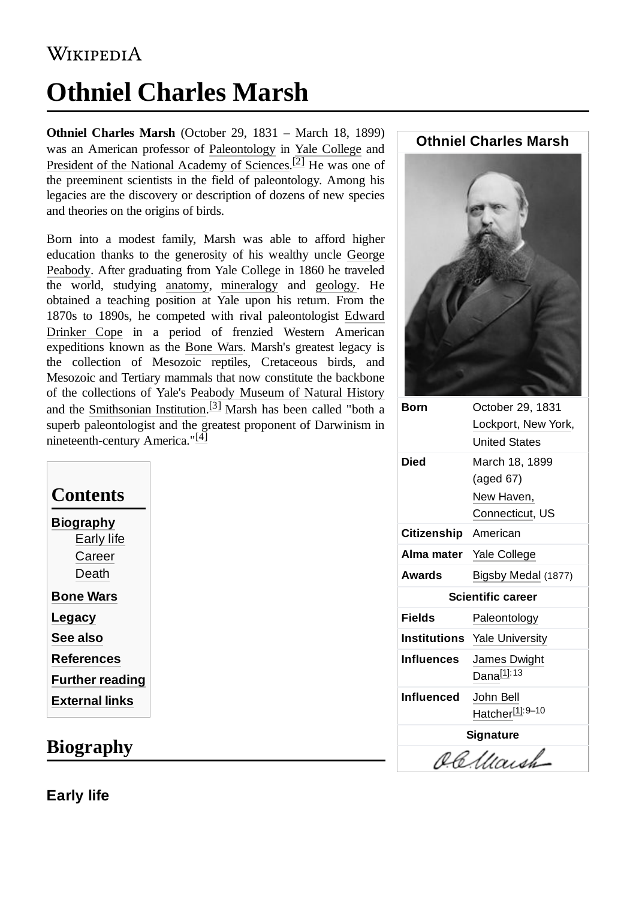## **WIKIPEDIA**

# **Othniel Charles Marsh**

**Othniel Charles Marsh** (October 29, 1831 – March 18, 1899) was an American professor of [Paleontology](https://en.wikipedia.org/wiki/Paleontology) in Yale [College](https://en.wikipedia.org/wiki/Yale_University) and President of the National [Academy of](https://en.wikipedia.org/wiki/National_Academy_of_Sciences) Sciences.<sup>[\[2\]](#page-5-1)</sup> He was one of the preeminent scientists in the field of paleontology. Among his legacies are the discovery or description of dozens of new species and theories on the origins of birds.

Born into a modest family, Marsh was able to afford higher [education thanks](https://en.wikipedia.org/wiki/George_Peabody) to the generosity of his wealthy uncle George Peabody. After graduating from Yale College in 1860 he traveled the world, studying [anatomy,](https://en.wikipedia.org/wiki/Anatomy) [mineralogy](https://en.wikipedia.org/wiki/Mineralogy) and [geology.](https://en.wikipedia.org/wiki/Geology) He obtained a teaching position at Yale upon his return. From the 1870s to 1890s, he competed with rival paleontologist Edward Drinker Cope in a period of [frenzied Western American](https://en.wikipedia.org/wiki/Edward_Drinker_Cope) expeditions known as the [Bone](https://en.wikipedia.org/wiki/Bone_Wars) Wars. Marsh's greatest legacy is the collection of Mesozoic reptiles, Cretaceous birds, and Mesozoic and Tertiary mammals that now constitute the backbone of the collections of Yale's [Peabody Museum](https://en.wikipedia.org/wiki/Peabody_Museum_of_Natural_History) of Natural History and the [Smithsonian Institution.](https://en.wikipedia.org/wiki/Smithsonian_Institution)<sup>[\[3\]](#page-5-2)</sup> Marsh has been called "both a superb paleontologist and the greatest proponent of Darwinism in nineteenth-century America."[\[4\]](#page-5-3)

| <b>Biography</b><br><b>Early life</b><br>Career<br>Death<br><b>Bone Wars</b><br>Legacy<br><b>See also</b><br>References<br><b>Further reading</b><br>External links | Contents |  |  |
|---------------------------------------------------------------------------------------------------------------------------------------------------------------------|----------|--|--|
|                                                                                                                                                                     |          |  |  |
|                                                                                                                                                                     |          |  |  |
|                                                                                                                                                                     |          |  |  |
|                                                                                                                                                                     |          |  |  |
|                                                                                                                                                                     |          |  |  |
|                                                                                                                                                                     |          |  |  |
|                                                                                                                                                                     |          |  |  |
|                                                                                                                                                                     |          |  |  |
|                                                                                                                                                                     |          |  |  |
|                                                                                                                                                                     |          |  |  |

## <span id="page-0-0"></span>**Biography**

<span id="page-0-1"></span>**Early life**

#### **Othniel Charles Marsh**



| Born                     | October 29, 1831                    |
|--------------------------|-------------------------------------|
|                          | Lockport, New York,                 |
|                          | <b>United States</b>                |
| Died                     | March 18, 1899                      |
|                          | (aged 67)                           |
|                          | New Haven,                          |
|                          | Connecticut, US                     |
| Citizenship American     |                                     |
| Alma mater               | Yale College                        |
| Awards                   | Bigsby Medal (1877)                 |
| <b>Scientific career</b> |                                     |
| Fields                   | Paleontology                        |
|                          | <b>Institutions</b> Yale University |
| Influences               | James Dwight                        |
|                          |                                     |
|                          | Dana <sup>[1]: 13</sup>             |
| Influenced               | John Bell                           |
|                          | Hatcher[1]: 9–10                    |
|                          | <b>Signature</b>                    |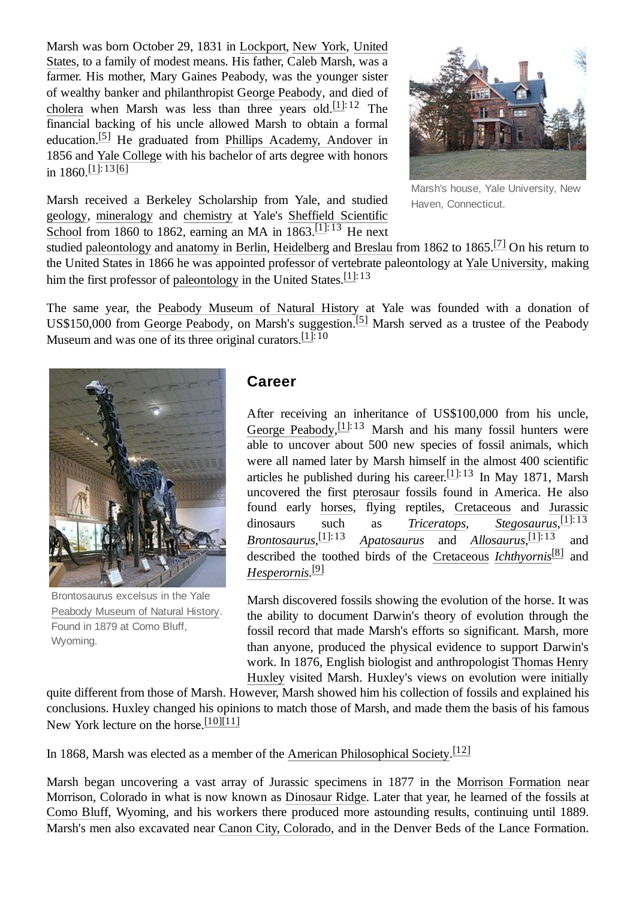Marsh was born October [29, 1831 in](https://en.wikipedia.org/wiki/United_States) [Lockpor](https://en.wikipedia.org/wiki/Lockport_(city),_New_York)[t, New](https://en.wikipedia.org/wiki/United_States) [York](https://en.wikipedia.org/wiki/New_York_(state)), United States, to a family of modest means. His father, Caleb Marsh, was a farmer. His mother, Mary Gaines Peabody, was the younger sister of wealthy banker and philanthropist [George Peabody,](https://en.wikipedia.org/wiki/George_Peabody) and died of [cholera](https://en.wikipedia.org/wiki/Cholera) when Marsh was less than three years  $old$ .<sup>[\[1\]:](#page-5-0)12</sup> The financial backing of his uncle allowed Marsh to obtain a formal education.<sup>[\[5\]](#page-5-5)</sup> He graduated from Phillips [Academy, Andover](https://en.wikipedia.org/wiki/Phillips_Academy,_Andover) in 1856 and [Yale College](https://en.wikipedia.org/wiki/Yale_College) with his bachelor of arts degree with honors in  $1860 \cdot \frac{[1]!}{[1]! \cdot 13[6]}$  $1860 \cdot \frac{[1]!}{[1]! \cdot 13[6]}$  $1860 \cdot \frac{[1]!}{[1]! \cdot 13[6]}$ 





Marsh's house, Yale University, New Haven, Connecticut.

studied [paleontology](https://en.wikipedia.org/wiki/Paleontology) and [anatomy](https://en.wikipedia.org/wiki/Anatomy) in [Berlin,](https://en.wikipedia.org/wiki/Berlin) [Heidelberg](https://en.wikipedia.org/wiki/Heidelberg) and [Breslau](https://en.wikipedia.org/wiki/Breslau) from 1862 to 1865.<sup>[\[7\]](#page-5-7)</sup> On his return to the United States in 1866 he was appointed professor of vertebrate paleontology at [Yale University](https://en.wikipedia.org/wiki/Yale_University), making him the first professor of [paleontology](https://en.wikipedia.org/wiki/Paleontology) in the United States.  $[1]$ : 13

The same year, the [Peabody Museum](https://en.wikipedia.org/wiki/Peabody_Museum_of_Natural_History) of Natural History at Yale was founded with a donation of US\$150,000 from George [Peabody](https://en.wikipedia.org/wiki/George_Peabody), on Marsh's suggestion.<sup>[\[5\]](#page-5-5)</sup> Marsh served as a trustee of the Peabody Museum and was one of its three original curators.<sup>[\[1\]](#page-5-0):10</sup>



Brontosaurus excelsus in the Yale [Peabody](https://en.wikipedia.org/wiki/Peabody_Museum_of_Natural_History) Museum of Natural History. Found in 1879 at Como Bluff, Wyoming.

#### <span id="page-1-0"></span>**Career**

After receiving an inheritance of US\$100,000 from his uncle, George [Peabody](https://en.wikipedia.org/wiki/George_Peabody),  $[1]$ :13 Marsh and his many fossil hunters were able to uncover about 500 new species of fossil animals, which were all named later by Marsh himself in the almost 400 scientific articles he published during his career. $[1]$ :13 In May 1871, Marsh uncovered the first [pterosaur](https://en.wikipedia.org/wiki/Pterosaur) fossils found in America. He also found early [horses](https://en.wikipedia.org/wiki/Horse), flying reptiles, [Cretaceous](https://en.wikipedia.org/wiki/Cretaceous) and [Jurassic](https://en.wikipedia.org/wiki/Jurassic) dinosaurs such as *[Triceratops](https://en.wikipedia.org/wiki/Triceratops)*, *[Stegosaurus](https://en.wikipedia.org/wiki/Stegosaurus)*, [\[1\]](#page-5-0):13 *[Brontosaurus](https://en.wikipedia.org/wiki/Brontosaurus)*, [\[1\]](#page-5-0):13 *[Apatosaurus](https://en.wikipedia.org/wiki/Apatosaurus)* and *[Allosaurus](https://en.wikipedia.org/wiki/Allosaurus)*, [\[1\]](#page-5-0):13 and described the toothed birds of the [Cretaceous](https://en.wikipedia.org/wiki/Cretaceous) *[Ichthyornis](https://en.wikipedia.org/wiki/Ichthyornis)* [\[8\]](#page-5-8) and *[Hesperornis](https://en.wikipedia.org/wiki/Hesperornis)*. [\[9\]](#page-5-9)

Marsh discovered fossils showing the evolution of the horse. It was the ability to document Darwin's theory of evolution through the fossil record that made Marsh's efforts so significant. Marsh, more than anyone, produced the physical evidence to support Darwin's [work. In 1876, English biologist](https://en.wikipedia.org/wiki/Thomas_Henry_Huxley) and anthropologist Thomas Henry Huxley visited Marsh. Huxley's views on evolution were initially

quite different from those of Marsh. However, Marsh showed him his collection of fossils and explained his conclusions. Huxley changed his opinions to match those of Marsh, and made them the basis of his famous New York lecture on the horse. [\[10\]](#page-5-10)[\[11\]](#page-5-11)

In 1868, Marsh was elected as a member of the [American Philosophical Society.](https://en.wikipedia.org/wiki/American_Philosophical_Society)<sup>[\[12\]](#page-5-12)</sup>

Marsh began uncovering a vast array of Jurassic specimens in 1877 in the [Morrison Formation](https://en.wikipedia.org/wiki/Morrison_Formation) near Morrison, Colorado in what is now known as [Dinosaur](https://en.wikipedia.org/wiki/Dinosaur_Ridge) Ridge. Later that year, he learned of the fossils at [Como Bluff](https://en.wikipedia.org/wiki/Como_Bluff), Wyoming, and his workers there produced more astounding results, continuing until 1889. Marsh's men also excavated near [Canon City, Colorado,](https://en.wikipedia.org/wiki/Garden_Park,_Colorado) and in the Denver Beds of the Lance Formation.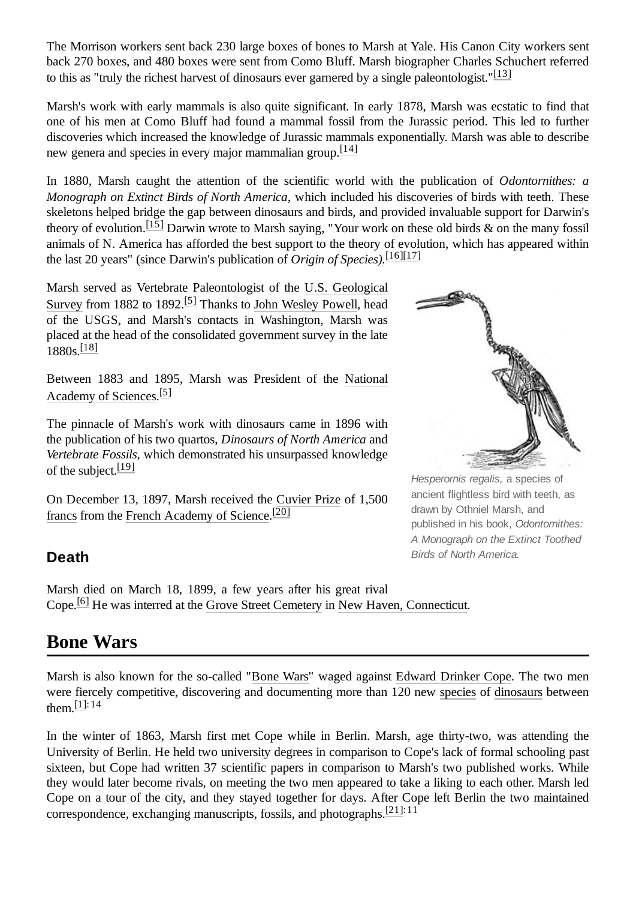The Morrison workers sent back 230 large boxes of bones to Marsh at Yale. His Canon City workers sent back 270 boxes, and 480 boxes were sent from Como Bluff. Marsh biographer Charles Schuchert referred to this as "truly the richest harvest of dinosaurs ever garnered by a single paleontologist." $[13]$ 

Marsh's work with early mammals is also quite significant. In early 1878, Marsh was ecstatic to find that one of his men at Como Bluff had found a mammal fossil from the Jurassic period. This led to further discoveries which increased the knowledge of Jurassic mammals exponentially. Marsh was able to describe new genera and species in every major mammalian group. $[14]$ 

In 1880, Marsh caught the attention of the scientific world with the publication of *Odontornithes: a Monograph on Extinct Birds of North America,* which included his discoveries of birds with teeth. These skeletons helped bridge the gap between dinosaurs and birds, and provided invaluable support for Darwin's theory of evolution.[\[15\]](#page-5-15) Darwin wrote to Marsh saying, "Your work on these old birds & on the many fossil animals of N. America has afforded the best support to the theory of evolution, which has appeared within the last 20 years" (since Darwin's publication of *Origin of Species).* [\[16\]](#page-5-16)[\[17\]](#page-5-17)

Marsh served as Vertebrate Paleontologist of the U.S. Geological Survey from 1882 to 1892.<sup>[\[5\]](#page-5-5)</sup> Thanks to [John Wesley Powell, head](https://en.wikipedia.org/wiki/U.S._Geological_Survey) of the USGS, and Marsh's contacts in Washington, Marsh was placed at the head of the consolidated government survey in the late 1880s.<sup>[\[18\]](#page-6-1)</sup>

[Between 1883 and 1895, Marsh was](https://en.wikipedia.org/wiki/National_Academy_of_Sciences) President of the National Academy of Sciences.<sup>[\[5\]](#page-5-5)</sup>

The pinnacle of Marsh's work with dinosaurs came in 1896 with the publication of his two quartos, *Dinosaurs of North America* and *Vertebrate Fossils,* which demonstrated his unsurpassed knowledge of the subject.<sup>[\[19\]](#page-6-2)</sup>

On December 13, 1897, Marsh received the [Cuvier](https://en.wikipedia.org/w/index.php?title=Cuvier_Prize&action=edit&redlink=1) Prize of 1,500 [francs](https://en.wikipedia.org/wiki/French_franc) from the [French Academy of Science](https://en.wikipedia.org/wiki/French_Academy_of_Science).<sup>[\[20\]](#page-6-3)</sup>

#### <span id="page-2-0"></span>**Death**

Marsh died on March 18, 1899, a few years after his great rival Cope.<sup>[\[6\]](#page-5-6)</sup> He was interred at the [Grove Street Cemetery](https://en.wikipedia.org/wiki/Grove_Street_Cemetery) in [New Haven, Connecticut](https://en.wikipedia.org/wiki/New_Haven,_Connecticut).

## <span id="page-2-1"></span>**Bone Wars**

Marsh is also known for the so-called "[Bone](https://en.wikipedia.org/wiki/Bone_Wars) Wars" waged against [Edward Drinker](https://en.wikipedia.org/wiki/Edward_Drinker_Cope) Cope. The two men were fiercely competitive, discovering and documenting more than 120 new [species](https://en.wikipedia.org/wiki/Species) of [dinosaurs](https://en.wikipedia.org/wiki/Dinosaur) between them. [\[1\]](#page-5-0):14

In the winter of 1863, Marsh first met Cope while in Berlin. Marsh, age thirty-two, was attending the University of Berlin. He held two university degrees in comparison to Cope's lack of formal schooling past sixteen, but Cope had written 37 scientific papers in comparison to Marsh's two published works. While they would later become rivals, on meeting the two men appeared to take a liking to each other. Marsh led Cope on a tour of the city, and they stayed together for days. After Cope left Berlin the two maintained correspondence, exchanging manuscripts, fossils, and photographs.  $[21]:11$  $[21]:11$ 



*Hesperornis regalis,* a species of ancient flightless bird with teeth, as drawn by Othniel Marsh, and published in his book, *Odontornithes: A Monograph on the Extinct Toothed Birds of North America.*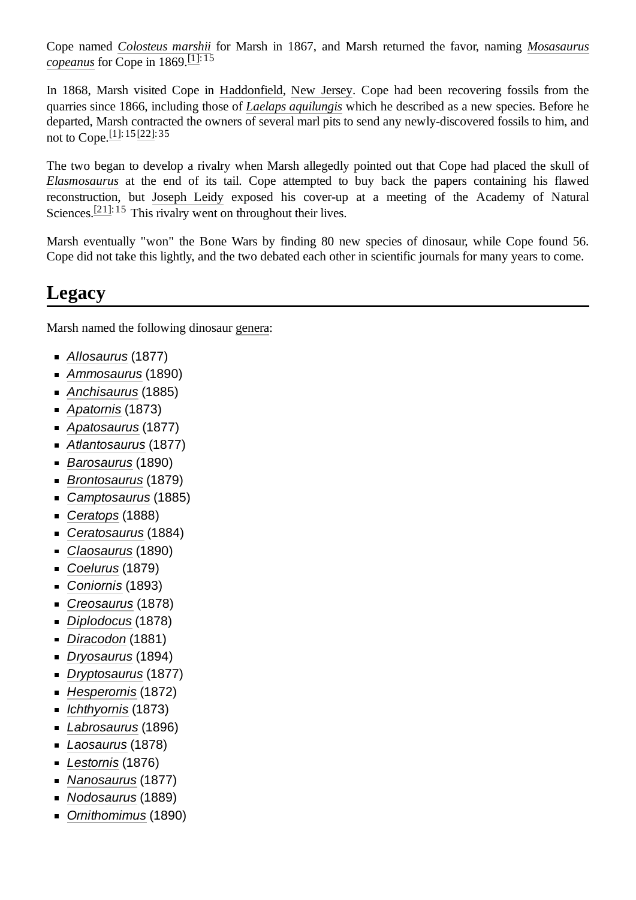Cope named *[Colosteus](https://en.wikipedia.org/wiki/Colosteus) marshii* for Marsh [in 1867, and Marsh returned the](https://en.wikipedia.org/wiki/Mosasaurus) favor, naming *Mosasaurus copeanus* for Cope in 1869.<sup>[\[1\]:](#page-5-0) 15</sup>

In 1868, Marsh visited Cope in [Haddonfield,](https://en.wikipedia.org/wiki/Haddonfield) New [Jersey](https://en.wikipedia.org/wiki/New_Jersey). Cope had been recovering fossils from the quarries since 1866, including those of *[Laelaps aquilungis](https://en.wikipedia.org/wiki/Dryptosaurus)* which he described as a new species. Before he departed, Marsh contracted the owners of several marl pits to send any newly-discovered fossils to him, and not to Cope. [\[1\]](#page-5-0): 15 [\[22\]:](#page-6-5) 35

The two began to develop a rivalry when Marsh allegedly pointed out that Cope had placed the skull of *[Elasmosaurus](https://en.wikipedia.org/wiki/Elasmosaurus)* at the end of its tail. Cope attempted to buy back the papers containing his flawed reconstruction, but [Joseph Leidy](https://en.wikipedia.org/wiki/Joseph_Leidy) exposed his cover-up at a meeting of the Academy of Natural Sciences.<sup>[\[21\]](#page-6-4): 15</sup> This rivalry went on throughout their lives.

Marsh eventually "won" the Bone Wars by finding 80 new species of dinosaur, while Cope found 56. Cope did not take this lightly, and the two debated each other in scientific journals for many years to come.

## <span id="page-3-0"></span>**Legacy**

Marsh named the following dinosaur [genera](https://en.wikipedia.org/wiki/Genus):

- *[Allosaurus](https://en.wikipedia.org/wiki/Allosaurus)* (1877)
- *[Ammosaurus](https://en.wikipedia.org/wiki/Ammosaurus)* (1890)
- *[Anchisaurus](https://en.wikipedia.org/wiki/Anchisaurus)* (1885)
- *[Apatornis](https://en.wikipedia.org/wiki/Apatornis)* (1873)
- *[Apatosaurus](https://en.wikipedia.org/wiki/Apatosaurus)* (1877)
- *[Atlantosaurus](https://en.wikipedia.org/wiki/Atlantosaurus)* (1877)
- *[Barosaurus](https://en.wikipedia.org/wiki/Barosaurus)* (1890)
- *[Brontosaurus](https://en.wikipedia.org/wiki/Brontosaurus)* (1879)
- *[Camptosaurus](https://en.wikipedia.org/wiki/Camptosaurus)* (1885)
- *[Ceratops](https://en.wikipedia.org/wiki/Ceratops)* (1888)
- *[Ceratosaurus](https://en.wikipedia.org/wiki/Ceratosaurus)* (1884)
- *[Claosaurus](https://en.wikipedia.org/wiki/Claosaurus)* (1890)
- *[Coelurus](https://en.wikipedia.org/wiki/Coelurus)* (1879)
- *[Coniornis](https://en.wikipedia.org/wiki/Coniornis)* (1893)
- *[Creosaurus](https://en.wikipedia.org/wiki/Creosaurus)* (1878)
- *[Diplodocus](https://en.wikipedia.org/wiki/Diplodocus)* (1878)
- *[Diracodon](https://en.wikipedia.org/wiki/Diracodon)* (1881)
- *[Dryosaurus](https://en.wikipedia.org/wiki/Dryosaurus)* (1894)
- *[Dryptosaurus](https://en.wikipedia.org/wiki/Dryptosaurus)* (1877)
- *[Hesperornis](https://en.wikipedia.org/wiki/Hesperornis)* (1872)
- *[Ichthyornis](https://en.wikipedia.org/wiki/Ichthyornis)* (1873)
- *[Labrosaurus](https://en.wikipedia.org/wiki/Labrosaurus)* (1896)
- *[Laosaurus](https://en.wikipedia.org/wiki/Laosaurus)* (1878)
- *[Lestornis](https://en.wikipedia.org/wiki/Hesperornis)* (1876)
- *[Nanosaurus](https://en.wikipedia.org/wiki/Nanosaurus)* (1877)
- *[Nodosaurus](https://en.wikipedia.org/wiki/Nodosaurus)* (1889)
- *[Ornithomimus](https://en.wikipedia.org/wiki/Ornithomimus)* (1890)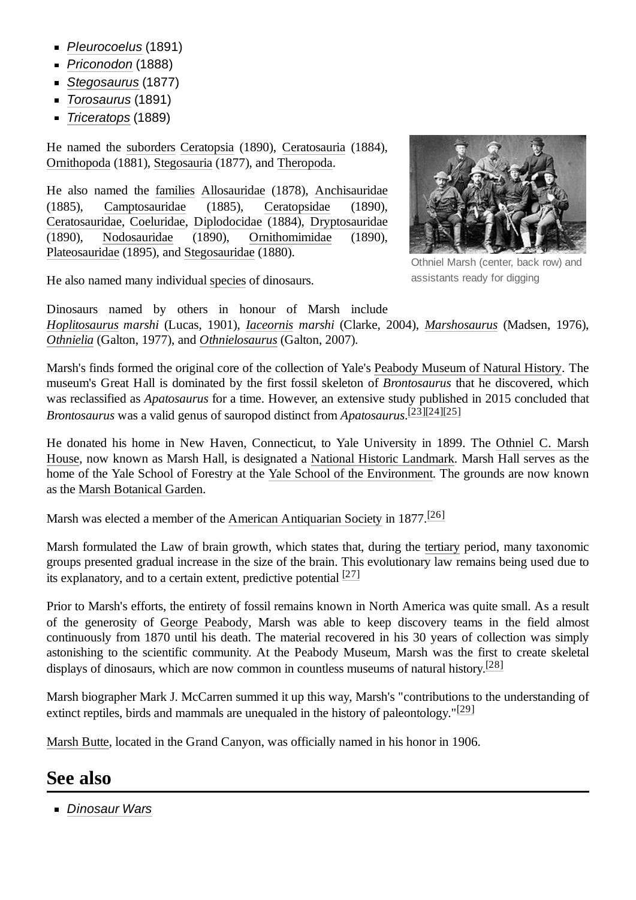- *[Pleurocoelus](https://en.wikipedia.org/wiki/Pleurocoelus)* (1891)
- *[Priconodon](https://en.wikipedia.org/wiki/Priconodon)* (1888)
- *[Stegosaurus](https://en.wikipedia.org/wiki/Stegosaurus)* (1877)
- *[Torosaurus](https://en.wikipedia.org/wiki/Torosaurus)* (1891)
- *[Triceratops](https://en.wikipedia.org/wiki/Triceratops)* (1889)

He named the [suborders](https://en.wikipedia.org/wiki/Suborder) [Ceratopsia](https://en.wikipedia.org/wiki/Ceratopsia) (1890), [Ceratosauria](https://en.wikipedia.org/wiki/Ceratosauria) (1884), [Ornithopoda](https://en.wikipedia.org/wiki/Ornithopoda) (1881), [Stegosauria](https://en.wikipedia.org/wiki/Stegosauria) (1877), and [Theropoda](https://en.wikipedia.org/wiki/Theropoda).

He also named the [families](https://en.wikipedia.org/wiki/Family_(biology)) [Allosauridae](https://en.wikipedia.org/wiki/Allosauridae) (1878), [Anchisauridae](https://en.wikipedia.org/wiki/Anchisauridae) (1885), [Camptosauridae](https://en.wikipedia.org/wiki/Camptosauridae) (1885), [Ceratopsidae](https://en.wikipedia.org/wiki/Ceratopsidae) (1890), [Ceratosauridae](https://en.wikipedia.org/wiki/Ceratosauridae), [Coeluridae](https://en.wikipedia.org/wiki/Coeluridae), [Diplodocidae](https://en.wikipedia.org/wiki/Diplodocidae) (1884), [Dryptosauridae](https://en.wikipedia.org/wiki/Dryptosauridae) (1890), [Nodosauridae](https://en.wikipedia.org/wiki/Nodosauridae) (1890), [Ornithomimidae](https://en.wikipedia.org/wiki/Ornithomimidae) (1890), [Plateosauridae](https://en.wikipedia.org/wiki/Plateosauridae) (1895), and [Stegosauridae](https://en.wikipedia.org/wiki/Stegosauridae) (1880).



Othniel Marsh (center, back row) and assistants ready for digging

He also named many individual [species](https://en.wikipedia.org/wiki/Species) of dinosaurs.

Dinosaurs named by others in honour of Marsh include *[Hoplitosaurus](https://en.wikipedia.org/wiki/Hoplitosaurus) marshi* (Lucas, 1901), *[Iaceornis](https://en.wikipedia.org/wiki/Iaceornis) marshi* (Clarke, 2004), *[Marshosaurus](https://en.wikipedia.org/wiki/Marshosaurus)* (Madsen, 1976), *[Othnielia](https://en.wikipedia.org/wiki/Othnielia)* (Galton, 1977), and *[Othnielosaurus](https://en.wikipedia.org/wiki/Othnielosaurus)* (Galton, 2007).

Marsh's finds formed the original core of the collection of Yale's [Peabody Museum](https://en.wikipedia.org/wiki/Peabody_Museum_of_Natural_History) of Natural History. The museum's Great Hall is dominated by the first fossil skeleton of *Brontosaurus* that he discovered, which was reclassified as *Apatosaurus* for a time. However, an extensive study published in 2015 concluded that *Brontosaurus* was a valid genus of sauropod distinct from *Apatosaurus*. [\[23\]](#page-6-6)[\[24\]](#page-6-7)[\[25\]](#page-6-8)

He donated his home in New [Haven, Connecticut, to Yale](https://en.wikipedia.org/wiki/Othniel_C._Marsh_House) University in 1899. The Othniel C. Marsh House, now known as Marsh Hall, is designated a National Historic [Landmark](https://en.wikipedia.org/wiki/National_Historic_Landmark). Marsh Hall serves as the home of the Yale School of Forestry at the Yale School of the [Environment](https://en.wikipedia.org/wiki/Yale_School_of_the_Environment). The grounds are now known as the [Marsh Botanical Garden.](https://en.wikipedia.org/wiki/Marsh_Botanical_Garden)

Marsh was elected a member of the [American Antiquarian Society](https://en.wikipedia.org/wiki/American_Antiquarian_Society) in 1877.<sup>[\[26\]](#page-6-9)</sup>

Marsh formulated the Law of brain growth, which states that, during the [tertiary](https://en.wikipedia.org/wiki/Tertiary) period, many taxonomic groups presented gradual increase in the size of the brain. This evolutionary law remains being used due to its explanatory, and to a certain extent, predictive potential  $[27]$ 

Prior to Marsh's efforts, the entirety of fossil remains known in North America was quite small. As a result of the generosity of George [Peabody,](https://en.wikipedia.org/wiki/George_Peabody) Marsh was able to keep discovery teams in the field almost continuously from 1870 until his death. The material recovered in his 30 years of collection was simply astonishing to the scientific community. At the Peabody Museum, Marsh was the first to create skeletal displays of dinosaurs, which are now common in countless museums of natural history.<sup>[\[28\]](#page-6-11)</sup>

Marsh biographer Mark J. McCarren summed it up this way, Marsh's "contributions to the understanding of extinct reptiles, birds and mammals are unequaled in the history of paleontology." $[29]$ 

[Marsh Butte](https://en.wikipedia.org/wiki/Marsh_Butte), located in the Grand Canyon, was officially named in his honor in 1906.

#### <span id="page-4-0"></span>**See also**

*[Dinosaur](https://en.wikipedia.org/wiki/Dinosaur_Wars_(film)) Wars*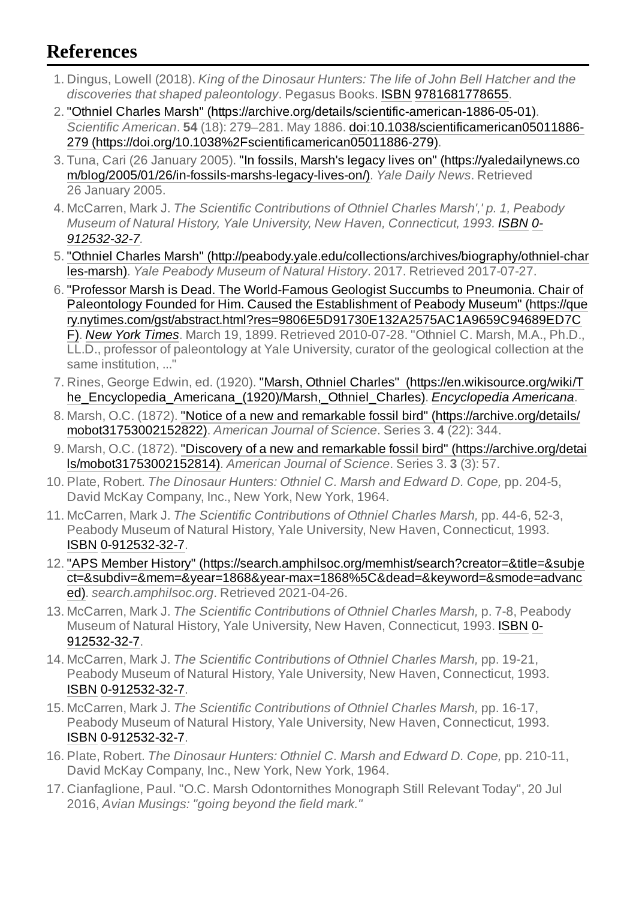# <span id="page-5-4"></span>**References**

- <span id="page-5-0"></span>1. Dingus, Lowell (2018). *King of the Dinosaur Hunters: The life of John Bell Hatcher and the discoveries that shaped paleontology*. Pegasus Books. [ISBN](https://en.wikipedia.org/wiki/ISBN_(identifier)) [9781681778655](https://en.wikipedia.org/wiki/Special:BookSources/9781681778655).
- <span id="page-5-1"></span>2. "Othniel Charles Marsh" [\(https://archive.org/details/scientific-american-1886-05-01\).](https://archive.org/details/scientific-american-1886-05-01) *Scientific American*. **54** (18): 279–281. May 1886. [doi:](https://en.wikipedia.org/wiki/Doi_(identifier))10.1038/scientificamerican05011886- 279 [\(https://doi.org/10.1038%2Fscientificamerican05011886-279\).](https://doi.org/10.1038%2Fscientificamerican05011886-279)
- <span id="page-5-2"></span>3. Tuna, Cari (26 January 2005). "In fossils, Marsh's legacy lives on" (https://yaledailynews.co [m/blog/2005/01/26/in-fossils-marshs-legacy-lives-on/\).](https://yaledailynews.com/blog/2005/01/26/in-fossils-marshs-legacy-lives-on/) *Yale Daily News*. Retrieved 26 January 2005.
- <span id="page-5-3"></span>4. McCarren, Mark J. *The Scientific Contributions of Othniel Charles Marsh',' p. 1, Peabody Museum of Natural History, Yale University, New Haven, Connecticut, 1993. [ISBN](https://en.wikipedia.org/wiki/ISBN_(identifier)) 0- [912532-32-7.](https://en.wikipedia.org/wiki/Special:BookSources/0-912532-32-7)*
- <span id="page-5-5"></span>5. "Othniel Charles Marsh" [\(http://peabody.yale.edu/collections/archives/biography/othniel-char](http://peabody.yale.edu/collections/archives/biography/othniel-charles-marsh) les-marsh). *Yale Peabody Museum of Natural History*. 2017. Retrieved 2017-07-27.
- <span id="page-5-6"></span>6. "Professor Marsh is Dead. The World-Famous Geologist Succumbs to Pneumonia. Chair of Paleontology Founded for Him. Caused the Establishment of Peabody Museum" (https://que [ry.nytimes.com/gst/abstract.html?res=9806E5D91730E132A2575AC1A9659C94689ED7C](https://query.nytimes.com/gst/abstract.html?res=9806E5D91730E132A2575AC1A9659C94689ED7CF) F). *New [York Times](https://en.wikipedia.org/wiki/New_York_Times)*. March 19, 1899. Retrieved 2010-07-28. "Othniel C. Marsh, M.A., Ph.D., LL.D., professor of paleontology at Yale University, curator of the geological collection at the same institution, ..."
- <span id="page-5-7"></span>7. Rines, George Edwin, ed. (1920). "Marsh, Othniel Charles" (https://en.wikisource.org/wiki/T [he\\_Encyclopedia\\_Americana\\_\(1920\)/Marsh,\\_Othniel\\_Charles\).](https://en.wikisource.org/wiki/The_Encyclopedia_Americana_(1920)/Marsh,_Othniel_Charles) *[Encyclopedia](https://en.wikipedia.org/wiki/Encyclopedia_Americana) Americana*.
- <span id="page-5-8"></span>8. Marsh, O.C. (1872). "Notice of a new and remarkable fossil bird" [\(https://archive.org/details/](https://archive.org/details/mobot31753002152822) mobot31753002152822). *American Journal of Science*. Series 3. **4** (22): 344.
- <span id="page-5-9"></span>9. Marsh, O.C. (1872). "Discovery of a new and remarkable fossil bird" (https://archive.org/detai [ls/mobot31753002152814\).](https://archive.org/details/mobot31753002152814) *American Journal of Science*. Series 3. **3** (3): 57.
- <span id="page-5-10"></span>10. Plate, Robert. *The Dinosaur Hunters: Othniel C. Marsh and Edward D. Cope,* pp. 204-5, David McKay Company, Inc., New York, New York, 1964.
- <span id="page-5-11"></span>11. McCarren, Mark J. *The Scientific Contributions of Othniel Charles Marsh,* pp. 44-6, 52-3, Peabody Museum of Natural History, Yale University, New Haven, Connecticut, 1993. [ISBN](https://en.wikipedia.org/wiki/ISBN_(identifier)) [0-912532-32-7](https://en.wikipedia.org/wiki/Special:BookSources/0-912532-32-7).
- <span id="page-5-12"></span>12. "APS Member History" (https://search.amphilsoc.org/memhist/search?creator=&title=&subje [ct=&subdiv=&mem=&year=1868&year-max=1868%5C&dead=&keyword=&smode=advanc](https://search.amphilsoc.org/memhist/search?creator=&title=&subject=&subdiv=&mem=&year=1868&year-max=1868%5C&dead=&keyword=&smode=advanced) ed). *search.amphilsoc.org*. Retrieved 2021-04-26.
- <span id="page-5-13"></span>13. McCarren, Mark J. *The Scientific Contributions of Othniel Charles Marsh,* p. 7-8, Peabody Museum of Natural History, Yale University, New Haven, Connecticut, 1993. [ISBN](https://en.wikipedia.org/wiki/ISBN_(identifier)) 0- [912532-32-7.](https://en.wikipedia.org/wiki/Special:BookSources/0-912532-32-7)
- <span id="page-5-14"></span>14. McCarren, Mark J. *The Scientific Contributions of Othniel Charles Marsh,* pp. 19-21, Peabody Museum of Natural History, Yale University, New Haven, Connecticut, 1993. [ISBN](https://en.wikipedia.org/wiki/ISBN_(identifier)) [0-912532-32-7](https://en.wikipedia.org/wiki/Special:BookSources/0-912532-32-7).
- <span id="page-5-15"></span>15. McCarren, Mark J. *The Scientific Contributions of Othniel Charles Marsh,* pp. 16-17, Peabody Museum of Natural History, Yale University, New Haven, Connecticut, 1993. [ISBN](https://en.wikipedia.org/wiki/ISBN_(identifier)) [0-912532-32-7](https://en.wikipedia.org/wiki/Special:BookSources/0-912532-32-7).
- <span id="page-5-16"></span>16. Plate, Robert. *The Dinosaur Hunters: Othniel C. Marsh and Edward D. Cope,* pp. 210-11, David McKay Company, Inc., New York, New York, 1964.
- <span id="page-5-17"></span>17. Cianfaglione, Paul. "O.C. Marsh Odontornithes Monograph Still Relevant Today", 20 Jul 2016, *Avian Musings: "going beyond the field mark."*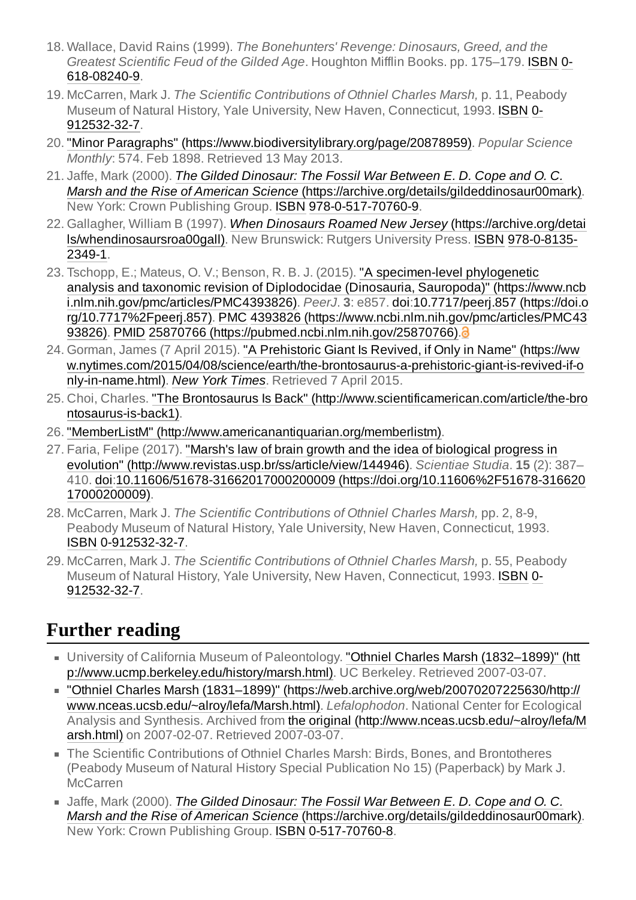- <span id="page-6-1"></span>18. Wallace, David Rains (1999). *The Bonehunters' Revenge: Dinosaurs, Greed, and the Greatest [Scientific Feud](https://en.wikipedia.org/wiki/Special:BookSources/0-618-08240-9) of the Gilded Age*. Houghton Mifflin Books. pp. 175–179. [ISBN](https://en.wikipedia.org/wiki/ISBN_(identifier)) 0- 618-08240-9.
- <span id="page-6-2"></span>19. McCarren, Mark J. *The Scientific Contributions of Othniel Charles Marsh,* p. 11, Peabody Museum of Natural History, Yale University, New Haven, Connecticut, 1993. [ISBN](https://en.wikipedia.org/wiki/ISBN_(identifier)) 0- [912532-32-7.](https://en.wikipedia.org/wiki/Special:BookSources/0-912532-32-7)
- <span id="page-6-3"></span>20. "Minor Paragraphs" [\(https://www.biodiversitylibrary.org/page/20878959\).](https://www.biodiversitylibrary.org/page/20878959) *Popular Science Monthly*: 574. Feb 1898. Retrieved 13 May 2013.
- <span id="page-6-4"></span>21. Jaffe, Mark (2000). *The Gilded Dinosaur: The Fossil War Between E. D. Cope and O. C. Marsh and the Rise of American Science* [\(https://archive.org/details/gildeddinosaur00mark\).](https://archive.org/details/gildeddinosaur00mark) New York: Crown Publishing Group. [ISBN](https://en.wikipedia.org/wiki/ISBN_(identifier)) [978-0-517-70760-9](https://en.wikipedia.org/wiki/Special:BookSources/978-0-517-70760-9).
- <span id="page-6-5"></span>22. Gallagher, William B (1997). *When Dinosaurs Roamed New Jersey* (https://archive.org/detai [ls/whendinosaursroa00gall\).](https://archive.org/details/whendinosaursroa00gall) New Brunswick: Rutgers University Press. [ISBN](https://en.wikipedia.org/wiki/ISBN_(identifier)) 978-0-8135- 2349-1.
- <span id="page-6-6"></span>23. Tschopp, E.; Mateus, O. V.; Benson, R. B. J. (2015). "A specimen-level phylogenetic analysis and taxonomic revision of Diplodocidae (Dinosauria, Sauropoda)" (https://www.ncb [i.nlm.nih.gov/pmc/articles/PMC4393826\).](https://www.ncbi.nlm.nih.gov/pmc/articles/PMC4393826) *PeerJ*. **3**: e857. [doi:](https://en.wikipedia.org/wiki/Doi_(identifier))10.7717/peerj.857 (https://doi.o rg/10.7717%2Fpeerj.857). [PMC](https://en.wikipedia.org/wiki/PMC_(identifier)) 4393826 [\(https://www.ncbi.nlm.nih.gov/pmc/articles/PMC43](https://doi.org/10.7717%2Fpeerj.857) 93826). [PMID](https://en.wikipedia.org/wiki/PMID_(identifier)) 25870766 [\(https://pubmed.ncbi.nlm.nih.gov/25870766\)](https://pubmed.ncbi.nlm.nih.gov/25870766)[.](https://en.wikipedia.org/wiki/Open_access)<sup>3</sup>
- <span id="page-6-7"></span>24. Gorman, James (7 April 2015). "A Prehistoric Giant Is Revived, if Only in Name" (https://ww [w.nytimes.com/2015/04/08/science/earth/the-brontosaurus-a-prehistoric-giant-is-revived-if-o](https://www.nytimes.com/2015/04/08/science/earth/the-brontosaurus-a-prehistoric-giant-is-revived-if-only-in-name.html) nly-in-name.html). *New [York Times](https://en.wikipedia.org/wiki/New_York_Times)*. Retrieved 7 April 2015.
- <span id="page-6-8"></span>25. Choi, Charles. "The Brontosaurus Is Back" [\(http://www.scientificamerican.com/article/the-bro](http://www.scientificamerican.com/article/the-brontosaurus-is-back1) ntosaurus-is-back1).
- <span id="page-6-9"></span>26. "MemberListM" [\(http://www.americanantiquarian.org/memberlistm\)](http://www.americanantiquarian.org/memberlistm).
- <span id="page-6-10"></span>27. Faria, Felipe (2017). "Marsh's law of brain growth and the idea of biological progress in evolution" [\(http://www.revistas.usp.br/ss/article/view/144946\).](http://www.revistas.usp.br/ss/article/view/144946) *Scientiae Studia*. **15** (2): 387– 410. [doi:](https://en.wikipedia.org/wiki/Doi_(identifier))10.11606/51678-31662017000200009 [\(https://doi.org/10.11606%2F51678-316620](https://doi.org/10.11606%2F51678-31662017000200009) 17000200009).
- <span id="page-6-11"></span>28. McCarren, Mark J. *The Scientific Contributions of Othniel Charles Marsh,* pp. 2, 8-9, Peabody Museum of Natural History, Yale University, New Haven, Connecticut, 1993. [ISBN](https://en.wikipedia.org/wiki/ISBN_(identifier)) [0-912532-32-7](https://en.wikipedia.org/wiki/Special:BookSources/0-912532-32-7).
- <span id="page-6-12"></span>29. McCarren, Mark J. *The Scientific Contributions of Othniel Charles Marsh,* p. 55, Peabody Museum of Natural History, Yale University, New Haven, Connecticut, 1993. [ISBN](https://en.wikipedia.org/wiki/ISBN_(identifier)) 0- [912532-32-7.](https://en.wikipedia.org/wiki/Special:BookSources/0-912532-32-7)

## <span id="page-6-0"></span>**Further reading**

- University of California Museum of Paleontology. "Othniel Charles Marsh (1832–1899)" (htt [p://www.ucmp.berkeley.edu/history/marsh.html\).](http://www.ucmp.berkeley.edu/history/marsh.html) UC Berkeley. Retrieved 2007-03-07.
- "Othniel Charles Marsh (1831–1899)" [\(https://web.archive.org/web/20070207225630/http://](https://web.archive.org/web/20070207225630/http://www.nceas.ucsb.edu/~alroy/lefa/Marsh.html) www.nceas.ucsb.edu/~alroy/lefa/Marsh.html). *Lefalophodon*. National Center for Ecological Analysis and Synthesis. Archived from the original [\(http://www.nceas.ucsb.edu/~alroy/lefa/M](http://www.nceas.ucsb.edu/~alroy/lefa/Marsh.html) arsh.html) on 2007-02-07. Retrieved 2007-03-07.
- The Scientific Contributions of Othniel Charles Marsh: Birds, Bones, and Brontotheres (Peabody Museum of Natural History Special Publication No 15) (Paperback) by Mark J. **McCarren**
- Jaffe, Mark (2000). *The Gilded Dinosaur: The Fossil War Between E. D. Cope and O. C. Marsh and the Rise of American Science* [\(https://archive.org/details/gildeddinosaur00mark\).](https://archive.org/details/gildeddinosaur00mark) New York: Crown Publishing Group. [ISBN](https://en.wikipedia.org/wiki/ISBN_(identifier)) [0-517-70760-8](https://en.wikipedia.org/wiki/Special:BookSources/0-517-70760-8).